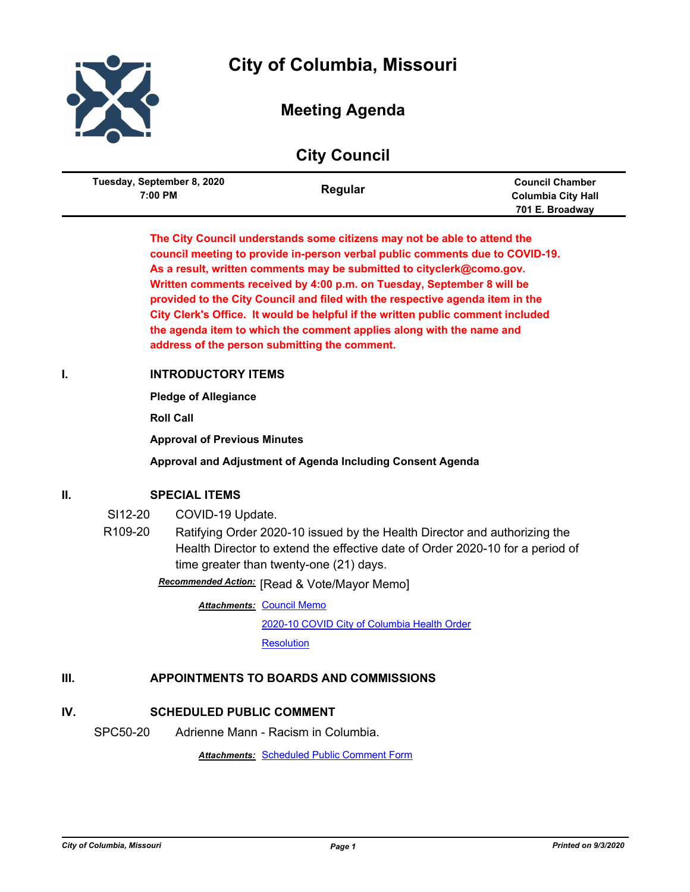

# **City of Columbia, Missouri**

## **Meeting Agenda**

| <b>City Council</b> |  |
|---------------------|--|
|                     |  |

| Tuesday, September 8, 2020<br>7:00 PM | Regular | <b>Council Chamber</b><br><b>Columbia City Hall</b> |
|---------------------------------------|---------|-----------------------------------------------------|
|                                       |         | 701 E. Broadway                                     |

**The City Council understands some citizens may not be able to attend the council meeting to provide in-person verbal public comments due to COVID-19. As a result, written comments may be submitted to cityclerk@como.gov. Written comments received by 4:00 p.m. on Tuesday, September 8 will be provided to the City Council and filed with the respective agenda item in the City Clerk's Office. It would be helpful if the written public comment included the agenda item to which the comment applies along with the name and address of the person submitting the comment.**

## **I. INTRODUCTORY ITEMS**

**Pledge of Allegiance**

**Roll Call**

**Approval of Previous Minutes**

**Approval and Adjustment of Agenda Including Consent Agenda**

### **II. SPECIAL ITEMS**

- SI12-20 COVID-19 Update.
- R109-20 Ratifying Order 2020-10 issued by the Health Director and authorizing the Health Director to extend the effective date of Order 2020-10 for a period of time greater than twenty-one (21) days.

**Recommended Action:** [Read & Vote/Mayor Memo]

**Attachments: [Council Memo](http://gocolumbiamo.legistar.com/gateway.aspx?M=F&ID=a54b3d57-c081-4d4b-9115-a2c2e503990a.docx)** 

[2020-10 COVID City of Columbia Health Order](http://gocolumbiamo.legistar.com/gateway.aspx?M=F&ID=d9fcea1e-30fe-4d8a-9e5e-ad7c710d9e1a.pdf)

**[Resolution](http://gocolumbiamo.legistar.com/gateway.aspx?M=F&ID=9511bb24-3f8b-4523-8b94-e3da8b2266f2.doc)** 

## **III. APPOINTMENTS TO BOARDS AND COMMISSIONS**

## **IV. SCHEDULED PUBLIC COMMENT**

SPC50-20 Adrienne Mann - Racism in Columbia.

*Attachments:* [Scheduled Public Comment Form](http://gocolumbiamo.legistar.com/gateway.aspx?M=F&ID=17b7496c-c38a-4139-b359-5c4701d58e43.pdf)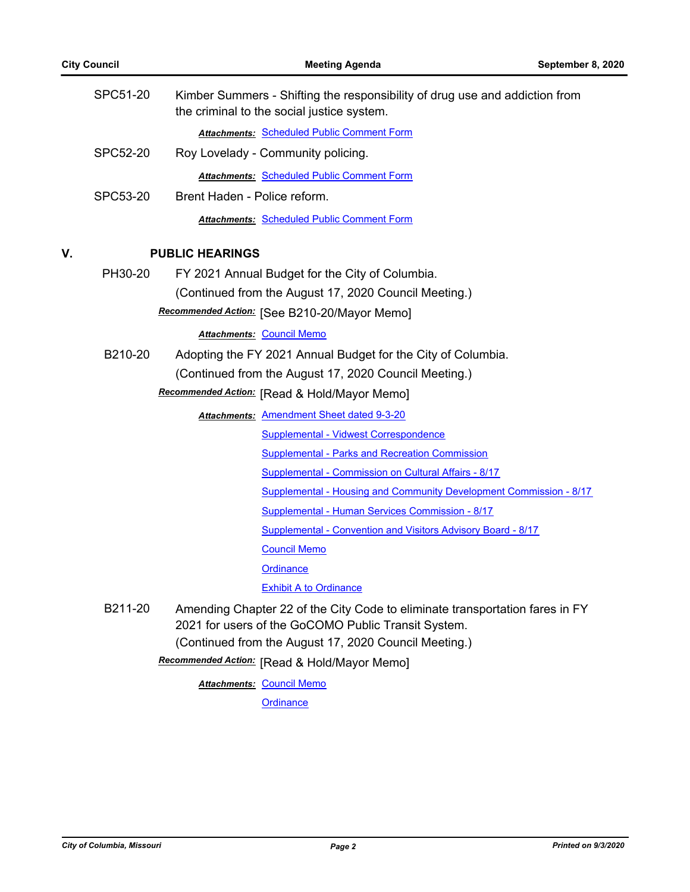|    | SPC51-20        | Kimber Summers - Shifting the responsibility of drug use and addiction from<br>the criminal to the social justice system.           |
|----|-----------------|-------------------------------------------------------------------------------------------------------------------------------------|
|    |                 | <b>Attachments: Scheduled Public Comment Form</b>                                                                                   |
|    | <b>SPC52-20</b> | Roy Lovelady - Community policing.                                                                                                  |
|    |                 | <b>Attachments: Scheduled Public Comment Form</b>                                                                                   |
|    | SPC53-20        | Brent Haden - Police reform.                                                                                                        |
|    |                 | <b>Attachments: Scheduled Public Comment Form</b>                                                                                   |
| V. |                 | <b>PUBLIC HEARINGS</b>                                                                                                              |
|    | PH30-20         | FY 2021 Annual Budget for the City of Columbia.                                                                                     |
|    |                 | (Continued from the August 17, 2020 Council Meeting.)                                                                               |
|    |                 | Recommended Action: [See B210-20/Mayor Memo]                                                                                        |
|    |                 | <b>Attachments: Council Memo</b>                                                                                                    |
|    | B210-20         | Adopting the FY 2021 Annual Budget for the City of Columbia.                                                                        |
|    |                 | (Continued from the August 17, 2020 Council Meeting.)                                                                               |
|    |                 | Recommended Action: [Read & Hold/Mayor Memo]                                                                                        |
|    |                 | <b>Attachments: Amendment Sheet dated 9-3-20</b>                                                                                    |
|    |                 | Supplemental - Vidwest Correspondence                                                                                               |
|    |                 | <b>Supplemental - Parks and Recreation Commission</b>                                                                               |
|    |                 | Supplemental - Commission on Cultural Affairs - 8/17                                                                                |
|    |                 | Supplemental - Housing and Community Development Commission - 8/17                                                                  |
|    |                 | Supplemental - Human Services Commission - 8/17                                                                                     |
|    |                 | Supplemental - Convention and Visitors Advisory Board - 8/17                                                                        |
|    |                 | <b>Council Memo</b>                                                                                                                 |
|    |                 | Ordinance                                                                                                                           |
|    |                 | <b>Exhibit A to Ordinance</b>                                                                                                       |
|    | B211-20         | Amending Chapter 22 of the City Code to eliminate transportation fares in FY<br>2021 for users of the GoCOMO Public Transit System. |
|    |                 | (Continued from the August 17, 2020 Council Meeting.)                                                                               |
|    |                 | Recommended Action: [Read & Hold/Mayor Memo]                                                                                        |

**Attachments: [Council Memo](http://gocolumbiamo.legistar.com/gateway.aspx?M=F&ID=98e92b60-1397-4b7a-a6f6-d6570afa4d80.docx)**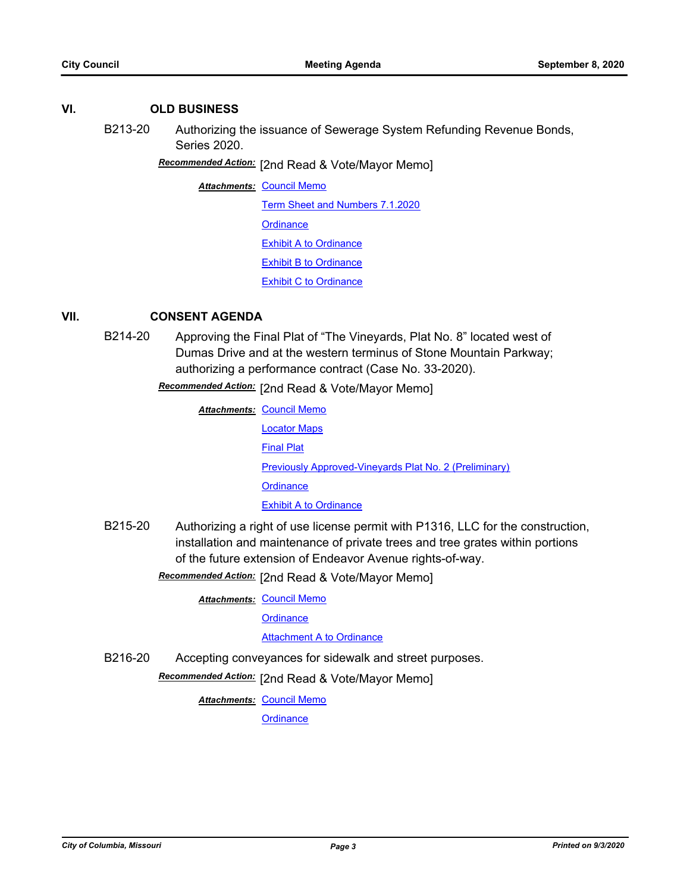### **VI. OLD BUSINESS**

B213-20 Authorizing the issuance of Sewerage System Refunding Revenue Bonds, Series 2020.

[2nd Read & Vote/Mayor Memo] *Recommended Action:*

**Attachments: [Council Memo](http://gocolumbiamo.legistar.com/gateway.aspx?M=F&ID=6e7f6ae0-43b1-4dcb-9297-4c1f791229b7.docx)** 

[Term Sheet and Numbers 7.1.2020](http://gocolumbiamo.legistar.com/gateway.aspx?M=F&ID=84f21baa-26d9-4194-bc4a-35b6f14fd458.pdf) **[Ordinance](http://gocolumbiamo.legistar.com/gateway.aspx?M=F&ID=500ad315-ce35-49bd-b614-843b631123ea.doc)** [Exhibit A to Ordinance](http://gocolumbiamo.legistar.com/gateway.aspx?M=F&ID=ad9f68d8-5839-414c-aec2-8cf593bf949f.pdf) [Exhibit B to Ordinance](http://gocolumbiamo.legistar.com/gateway.aspx?M=F&ID=8bf4b84d-0e31-4abf-8325-d763a5966cb7.pdf)

[Exhibit C to Ordinance](http://gocolumbiamo.legistar.com/gateway.aspx?M=F&ID=698676f4-7bdf-4d4e-91a7-802be1794b21.pdf)

## **VII. CONSENT AGENDA**

B214-20 Approving the Final Plat of "The Vineyards, Plat No. 8" located west of Dumas Drive and at the western terminus of Stone Mountain Parkway; authorizing a performance contract (Case No. 33-2020).

**Recommended Action:** [2nd Read & Vote/Mayor Memo]

| <b>Attachments: Council Memo</b>                       |
|--------------------------------------------------------|
| <b>Locator Maps</b>                                    |
| <b>Final Plat</b>                                      |
| Previously Approved-Vineyards Plat No. 2 (Preliminary) |
| Ordinance                                              |
| <b>Exhibit A to Ordinance</b>                          |
|                                                        |

B215-20 Authorizing a right of use license permit with P1316, LLC for the construction, installation and maintenance of private trees and tree grates within portions of the future extension of Endeavor Avenue rights-of-way.

Recommended Action: [2nd Read & Vote/Mayor Memo]

**Attachments: [Council Memo](http://gocolumbiamo.legistar.com/gateway.aspx?M=F&ID=350ee155-c8ba-43db-98bb-327dbb83d4f7.docx)** 

**[Ordinance](http://gocolumbiamo.legistar.com/gateway.aspx?M=F&ID=ef3542de-17c9-4f9f-bc8e-0e24e91cf881.doc)** 

**[Attachment A to Ordinance](http://gocolumbiamo.legistar.com/gateway.aspx?M=F&ID=400a9bfb-ab7c-4911-a5d6-d290bc63779e.pdf)** 

B216-20 Accepting conveyances for sidewalk and street purposes.

**Recommended Action:** [2nd Read & Vote/Mayor Memo]

**Attachments: [Council Memo](http://gocolumbiamo.legistar.com/gateway.aspx?M=F&ID=252b39e1-fae2-4f8b-bf32-ebd77f193a1c.docx)**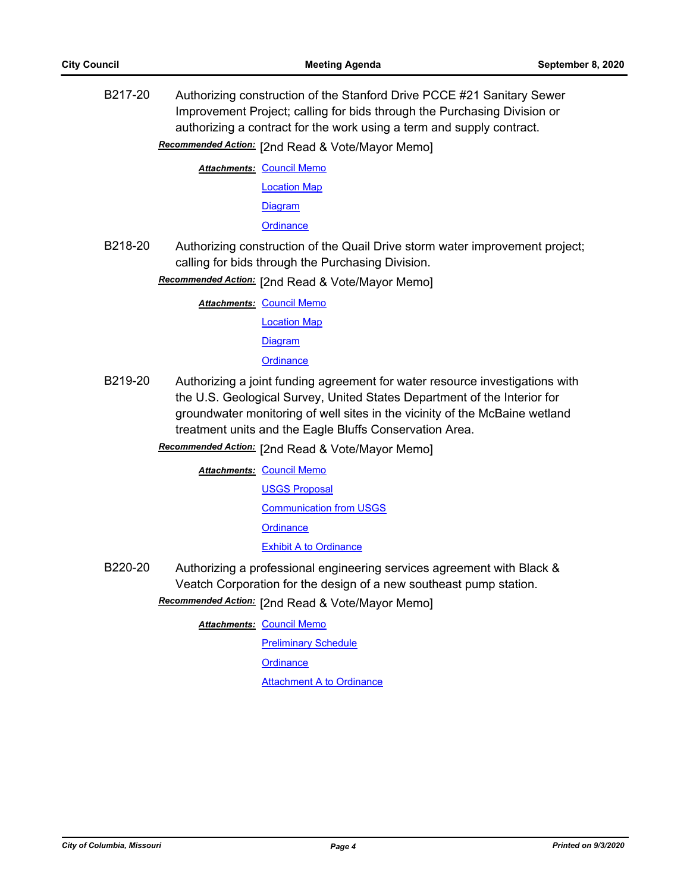B217-20 Authorizing construction of the Stanford Drive PCCE #21 Sanitary Sewer Improvement Project; calling for bids through the Purchasing Division or authorizing a contract for the work using a term and supply contract.

Recommended Action: [2nd Read & Vote/Mayor Memo]

**Attachments: [Council Memo](http://gocolumbiamo.legistar.com/gateway.aspx?M=F&ID=e23dca48-69a9-48cf-aa69-4d7a509eb6d3.docx)** 

[Location Map](http://gocolumbiamo.legistar.com/gateway.aspx?M=F&ID=43752dc1-0f16-4f83-b3db-c1efb392d524.pdf)

[Diagram](http://gocolumbiamo.legistar.com/gateway.aspx?M=F&ID=37701831-79e1-42a4-beec-4da9eda9c702.pdf)

**[Ordinance](http://gocolumbiamo.legistar.com/gateway.aspx?M=F&ID=349e80d6-6490-41b8-b4b2-c89fb3d51350.doc)** 

B218-20 Authorizing construction of the Quail Drive storm water improvement project; calling for bids through the Purchasing Division.

Recommended Action: [2nd Read & Vote/Mayor Memo]

**Attachments: [Council Memo](http://gocolumbiamo.legistar.com/gateway.aspx?M=F&ID=74c10b93-d8e9-4d1d-b346-c8c059d63818.docx)** 

[Location Map](http://gocolumbiamo.legistar.com/gateway.aspx?M=F&ID=94237c20-f326-4784-b725-840341269fe0.pdf)

**[Diagram](http://gocolumbiamo.legistar.com/gateway.aspx?M=F&ID=87dedf49-5e14-45b2-ae1f-1500f6306dcd.pdf)** 

### **[Ordinance](http://gocolumbiamo.legistar.com/gateway.aspx?M=F&ID=a2c872a7-9c38-4ba3-9527-a567f9e94950.doc)**

B219-20 Authorizing a joint funding agreement for water resource investigations with the U.S. Geological Survey, United States Department of the Interior for groundwater monitoring of well sites in the vicinity of the McBaine wetland treatment units and the Eagle Bluffs Conservation Area.

Recommended Action: [2nd Read & Vote/Mayor Memo]

**Attachments: [Council Memo](http://gocolumbiamo.legistar.com/gateway.aspx?M=F&ID=ca45af7c-7327-441d-81fe-e6dd4ec0dd7d.docx)** 

[USGS Proposal](http://gocolumbiamo.legistar.com/gateway.aspx?M=F&ID=83f2d931-1845-41d2-93a5-ef5236e73149.pdf)

[Communication from USGS](http://gocolumbiamo.legistar.com/gateway.aspx?M=F&ID=936d678f-db55-4ced-a7a2-39a1b0fe98ef.pdf)

**[Ordinance](http://gocolumbiamo.legistar.com/gateway.aspx?M=F&ID=8d81b5b6-ef57-480a-baf2-d5c0a8500feb.doc)** 

[Exhibit A to Ordinance](http://gocolumbiamo.legistar.com/gateway.aspx?M=F&ID=bb5055c4-fb08-41bb-8032-760541e3df75.pdf)

B220-20 Authorizing a professional engineering services agreement with Black & Veatch Corporation for the design of a new southeast pump station.

Recommended Action: [2nd Read & Vote/Mayor Memo]

**Attachments: [Council Memo](http://gocolumbiamo.legistar.com/gateway.aspx?M=F&ID=c267646b-d3b5-4275-985e-fa3a56a450e1.docx)** 

**[Preliminary Schedule](http://gocolumbiamo.legistar.com/gateway.aspx?M=F&ID=ee6e8bcb-2931-461a-a7bb-13111a102246.pdf) [Ordinance](http://gocolumbiamo.legistar.com/gateway.aspx?M=F&ID=97af17a0-ba30-48ed-a418-1dac6c66b3d0.doc)** [Attachment A to Ordinance](http://gocolumbiamo.legistar.com/gateway.aspx?M=F&ID=6f9b4e82-74b3-4df4-b278-df1e2d338279.pdf)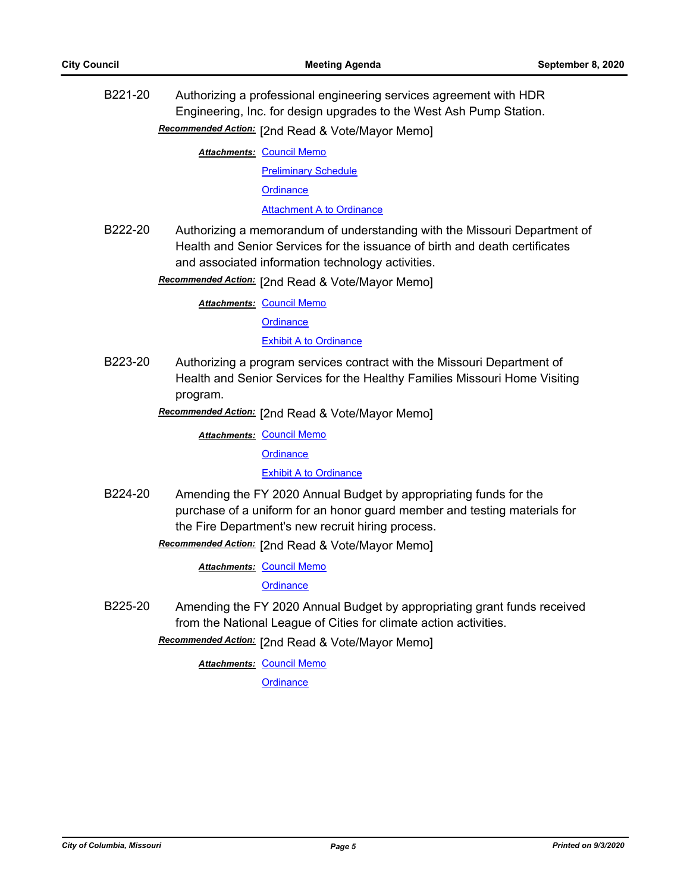B221-20 Authorizing a professional engineering services agreement with HDR Engineering, Inc. for design upgrades to the West Ash Pump Station. Recommended Action: [2nd Read & Vote/Mayor Memo]

**Attachments: [Council Memo](http://gocolumbiamo.legistar.com/gateway.aspx?M=F&ID=5f5b1004-ba17-4482-83ae-3e993e35bb5a.docx)** 

[Preliminary Schedule](http://gocolumbiamo.legistar.com/gateway.aspx?M=F&ID=6d3dbc07-a773-4c7e-b907-49831ceaf108.pdf)

**[Ordinance](http://gocolumbiamo.legistar.com/gateway.aspx?M=F&ID=32a4a9de-a4bd-411b-85e9-c64d2b708af2.doc)** 

[Attachment A to Ordinance](http://gocolumbiamo.legistar.com/gateway.aspx?M=F&ID=b7bfed14-f1bd-4222-b904-1897713a9bf5.pdf)

B222-20 Authorizing a memorandum of understanding with the Missouri Department of Health and Senior Services for the issuance of birth and death certificates and associated information technology activities.

Recommended Action: [2nd Read & Vote/Mayor Memo]

**Attachments: [Council Memo](http://gocolumbiamo.legistar.com/gateway.aspx?M=F&ID=83642ee9-ba4c-4998-98fd-a90c31bfee4e.docx)** 

**[Ordinance](http://gocolumbiamo.legistar.com/gateway.aspx?M=F&ID=8caca5ed-4736-40ec-8da8-6b606f3b19d8.doc)** 

[Exhibit A to Ordinance](http://gocolumbiamo.legistar.com/gateway.aspx?M=F&ID=84a6c78e-f1c9-4280-9743-0caacbd62dae.pdf)

B223-20 Authorizing a program services contract with the Missouri Department of Health and Senior Services for the Healthy Families Missouri Home Visiting program.

Recommended Action: [2nd Read & Vote/Mayor Memo]

**Attachments: [Council Memo](http://gocolumbiamo.legistar.com/gateway.aspx?M=F&ID=80af1d6a-d312-4982-a247-88d261c6f6df.docx)** 

**[Ordinance](http://gocolumbiamo.legistar.com/gateway.aspx?M=F&ID=688e32cd-82d7-4743-ba32-a158f1b2cb17.doc)** 

### [Exhibit A to Ordinance](http://gocolumbiamo.legistar.com/gateway.aspx?M=F&ID=5f72293d-9550-40f9-98c6-95ea99354f43.pdf)

B224-20 Amending the FY 2020 Annual Budget by appropriating funds for the purchase of a uniform for an honor guard member and testing materials for the Fire Department's new recruit hiring process.

Recommended Action: [2nd Read & Vote/Mayor Memo]

**Attachments: [Council Memo](http://gocolumbiamo.legistar.com/gateway.aspx?M=F&ID=b2785377-1650-4068-9ba5-fac015bb043b.docx)** 

**[Ordinance](http://gocolumbiamo.legistar.com/gateway.aspx?M=F&ID=51d4d274-680f-44f9-8a9b-450eae81d657.doc)** 

B225-20 Amending the FY 2020 Annual Budget by appropriating grant funds received from the National League of Cities for climate action activities.

**Recommended Action:** [2nd Read & Vote/Mayor Memo]

**Attachments: [Council Memo](http://gocolumbiamo.legistar.com/gateway.aspx?M=F&ID=ccf2db49-6409-41ee-aaa0-4291f821f9cd.docx)**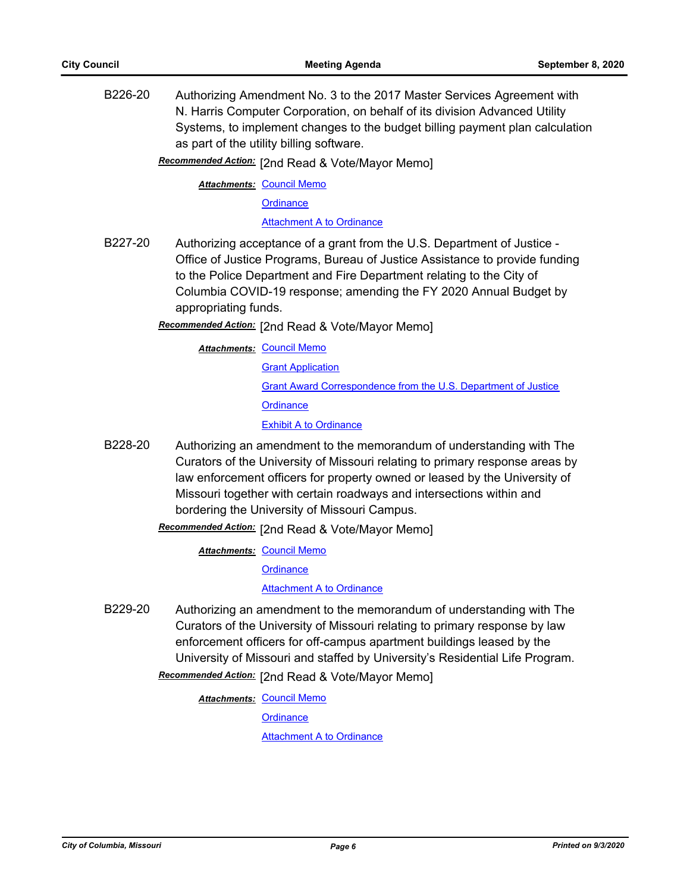B226-20 Authorizing Amendment No. 3 to the 2017 Master Services Agreement with N. Harris Computer Corporation, on behalf of its division Advanced Utility Systems, to implement changes to the budget billing payment plan calculation as part of the utility billing software.

Recommended Action: [2nd Read & Vote/Mayor Memo]

**Attachments: [Council Memo](http://gocolumbiamo.legistar.com/gateway.aspx?M=F&ID=632a7339-4d67-4db7-a6a7-7e656662be17.docx)** 

**[Ordinance](http://gocolumbiamo.legistar.com/gateway.aspx?M=F&ID=5ef6a584-0eca-444c-87ba-e232a871f9ff.doc)** 

[Attachment A to Ordinance](http://gocolumbiamo.legistar.com/gateway.aspx?M=F&ID=4df1ad90-69fa-4389-a16d-3cb66f24db1a.pdf)

- B227-20 Authorizing acceptance of a grant from the U.S. Department of Justice Office of Justice Programs, Bureau of Justice Assistance to provide funding to the Police Department and Fire Department relating to the City of Columbia COVID-19 response; amending the FY 2020 Annual Budget by appropriating funds.
	- [2nd Read & Vote/Mayor Memo] *Recommended Action:*

**Attachments: [Council Memo](http://gocolumbiamo.legistar.com/gateway.aspx?M=F&ID=ac61f61e-cac0-4fde-97e3-ae032c903084.docx) [Grant Application](http://gocolumbiamo.legistar.com/gateway.aspx?M=F&ID=9e2a6eea-3213-4d7e-8890-c400b753dd61.pdf)** [Grant Award Correspondence from the U.S. Department of Justice](http://gocolumbiamo.legistar.com/gateway.aspx?M=F&ID=3d8028ea-e7f3-45fb-b2b5-37a3ecead535.pdf) **[Ordinance](http://gocolumbiamo.legistar.com/gateway.aspx?M=F&ID=cf58d925-e64e-4edf-a019-2eb290b678c3.doc)** [Exhibit A to Ordinance](http://gocolumbiamo.legistar.com/gateway.aspx?M=F&ID=a97675a2-0d69-4177-8c26-48a661e4ec01.pdf)

B228-20 Authorizing an amendment to the memorandum of understanding with The Curators of the University of Missouri relating to primary response areas by law enforcement officers for property owned or leased by the University of Missouri together with certain roadways and intersections within and bordering the University of Missouri Campus.

Recommended Action: [2nd Read & Vote/Mayor Memo]

**Attachments: [Council Memo](http://gocolumbiamo.legistar.com/gateway.aspx?M=F&ID=c6a703e3-10d7-4e67-a039-4e1c558364cf.docx)** 

**[Ordinance](http://gocolumbiamo.legistar.com/gateway.aspx?M=F&ID=884d60e2-00ba-4871-b966-1d848681c222.doc)** 

### [Attachment A to Ordinance](http://gocolumbiamo.legistar.com/gateway.aspx?M=F&ID=95d5dd0f-979c-4f7d-9c77-a4eed6a0c9f2.pdf)

B229-20 Authorizing an amendment to the memorandum of understanding with The Curators of the University of Missouri relating to primary response by law enforcement officers for off-campus apartment buildings leased by the University of Missouri and staffed by University's Residential Life Program.

**Recommended Action:** [2nd Read & Vote/Mayor Memo]

**Attachments: [Council Memo](http://gocolumbiamo.legistar.com/gateway.aspx?M=F&ID=6b01a3bc-145e-4e34-adde-c13f74b3f845.docx)** 

**[Ordinance](http://gocolumbiamo.legistar.com/gateway.aspx?M=F&ID=dff09142-94c7-4dec-b345-1ae54c9f7b7b.doc)** 

[Attachment A to Ordinance](http://gocolumbiamo.legistar.com/gateway.aspx?M=F&ID=0c639ca4-c49d-48b1-9abe-32697e96cddf.pdf)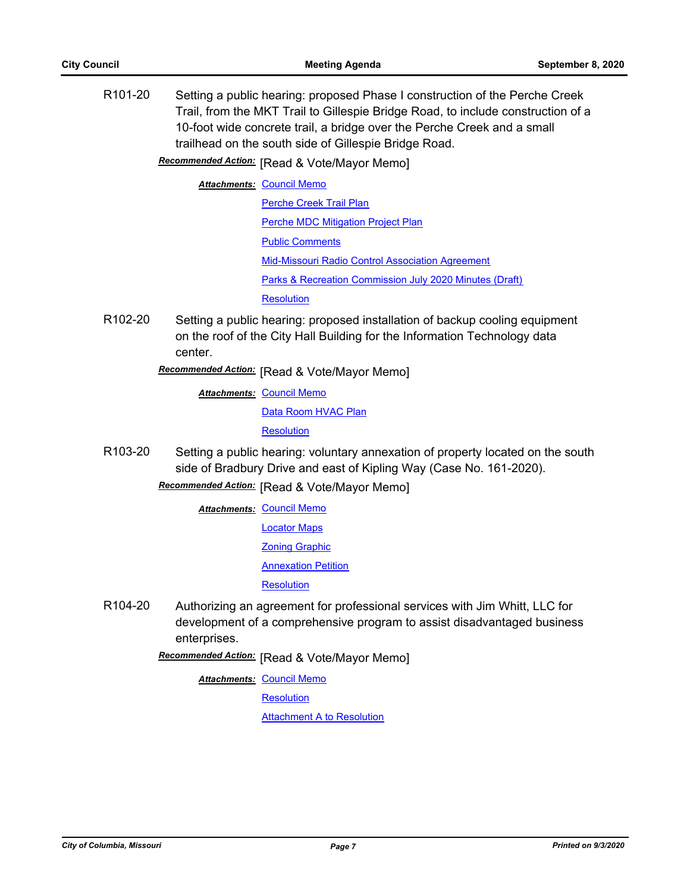| R <sub>101-20</sub>  |              | Setting a public hearing: proposed Phase I construction of the Perche Creek<br>Trail, from the MKT Trail to Gillespie Bridge Road, to include construction of a<br>10-foot wide concrete trail, a bridge over the Perche Creek and a small<br>trailhead on the south side of Gillespie Bridge Road.<br>Recommended Action: [Read & Vote/Mayor Memo] |
|----------------------|--------------|-----------------------------------------------------------------------------------------------------------------------------------------------------------------------------------------------------------------------------------------------------------------------------------------------------------------------------------------------------|
|                      |              |                                                                                                                                                                                                                                                                                                                                                     |
|                      |              | <b>Attachments: Council Memo</b>                                                                                                                                                                                                                                                                                                                    |
|                      |              | Perche Creek Trail Plan                                                                                                                                                                                                                                                                                                                             |
|                      |              | <b>Perche MDC Mitigation Project Plan</b>                                                                                                                                                                                                                                                                                                           |
|                      |              | <b>Public Comments</b>                                                                                                                                                                                                                                                                                                                              |
|                      |              | <b>Mid-Missouri Radio Control Association Agreement</b>                                                                                                                                                                                                                                                                                             |
|                      |              | Parks & Recreation Commission July 2020 Minutes (Draft)                                                                                                                                                                                                                                                                                             |
|                      |              | <b>Resolution</b>                                                                                                                                                                                                                                                                                                                                   |
| R <sub>102-20</sub>  | center.      | Setting a public hearing: proposed installation of backup cooling equipment<br>on the roof of the City Hall Building for the Information Technology data                                                                                                                                                                                            |
|                      |              | Recommended Action: [Read & Vote/Mayor Memo]                                                                                                                                                                                                                                                                                                        |
|                      |              | <b>Attachments: Council Memo</b>                                                                                                                                                                                                                                                                                                                    |
|                      |              | Data Room HVAC Plan                                                                                                                                                                                                                                                                                                                                 |
|                      |              | <b>Resolution</b>                                                                                                                                                                                                                                                                                                                                   |
| R <sub>103</sub> -20 |              | Setting a public hearing: voluntary annexation of property located on the south<br>side of Bradbury Drive and east of Kipling Way (Case No. 161-2020).                                                                                                                                                                                              |
|                      |              | Recommended Action: [Read & Vote/Mayor Memo]                                                                                                                                                                                                                                                                                                        |
|                      |              | <b>Attachments: Council Memo</b>                                                                                                                                                                                                                                                                                                                    |
|                      |              | <b>Locator Maps</b>                                                                                                                                                                                                                                                                                                                                 |
|                      |              | <b>Zoning Graphic</b>                                                                                                                                                                                                                                                                                                                               |
|                      |              | <b>Annexation Petition</b>                                                                                                                                                                                                                                                                                                                          |
|                      |              | Resolution                                                                                                                                                                                                                                                                                                                                          |
| R <sub>104</sub> -20 | enterprises. | Authorizing an agreement for professional services with Jim Whitt, LLC for<br>development of a comprehensive program to assist disadvantaged business                                                                                                                                                                                               |
|                      |              | Recommended Action: [Read & Vote/Mayor Memo]                                                                                                                                                                                                                                                                                                        |
|                      |              | <b>Attachments: Council Memo</b>                                                                                                                                                                                                                                                                                                                    |

**[Resolution](http://gocolumbiamo.legistar.com/gateway.aspx?M=F&ID=992ef429-1c2a-4272-bb51-ee3b73dfb679.doc)** 

**[Attachment A to Resolution](http://gocolumbiamo.legistar.com/gateway.aspx?M=F&ID=053ce07f-7316-4f84-9609-37fc61a394e8.pdf)**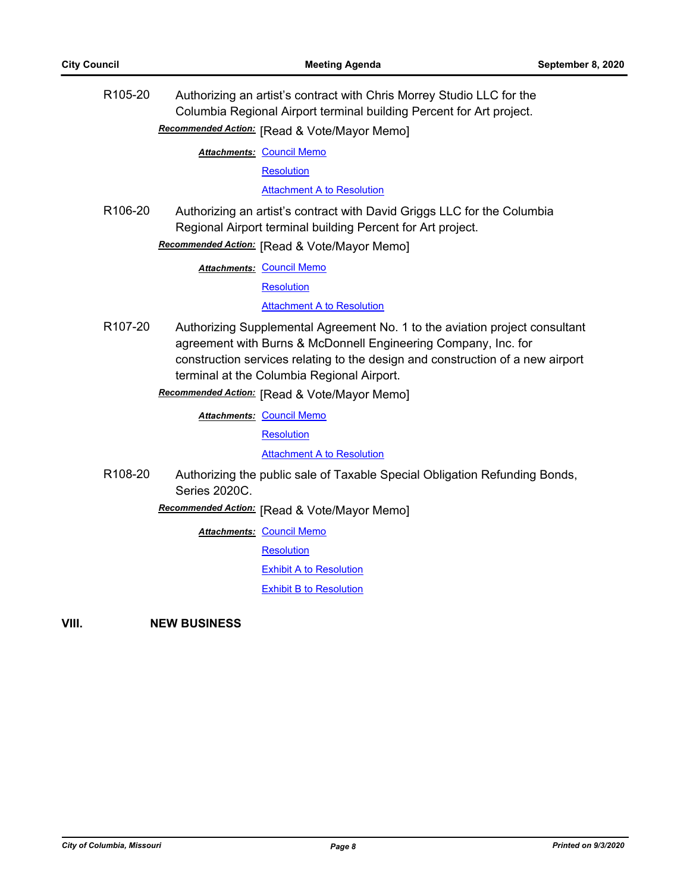| R <sub>105</sub> -20 | Authorizing an artist's contract with Chris Morrey Studio LLC for the<br>Columbia Regional Airport terminal building Percent for Art project.<br>Recommended Action: [Read & Vote/Mayor Memo]                                                                                                                                 |  |
|----------------------|-------------------------------------------------------------------------------------------------------------------------------------------------------------------------------------------------------------------------------------------------------------------------------------------------------------------------------|--|
|                      |                                                                                                                                                                                                                                                                                                                               |  |
|                      | <b>Attachments: Council Memo</b>                                                                                                                                                                                                                                                                                              |  |
|                      | <b>Resolution</b>                                                                                                                                                                                                                                                                                                             |  |
|                      | <b>Attachment A to Resolution</b>                                                                                                                                                                                                                                                                                             |  |
| R <sub>106-20</sub>  | Authorizing an artist's contract with David Griggs LLC for the Columbia<br>Regional Airport terminal building Percent for Art project.                                                                                                                                                                                        |  |
|                      | Recommended Action: [Read & Vote/Mayor Memo]                                                                                                                                                                                                                                                                                  |  |
|                      | <b>Attachments: Council Memo</b>                                                                                                                                                                                                                                                                                              |  |
|                      | <b>Resolution</b>                                                                                                                                                                                                                                                                                                             |  |
|                      | <b>Attachment A to Resolution</b>                                                                                                                                                                                                                                                                                             |  |
| R <sub>107-20</sub>  | Authorizing Supplemental Agreement No. 1 to the aviation project consultant<br>agreement with Burns & McDonnell Engineering Company, Inc. for<br>construction services relating to the design and construction of a new airport<br>terminal at the Columbia Regional Airport.<br>Recommended Action: [Read & Vote/Mayor Memo] |  |
|                      | <b>Attachments: Council Memo</b>                                                                                                                                                                                                                                                                                              |  |
|                      | <b>Resolution</b>                                                                                                                                                                                                                                                                                                             |  |
|                      | <b>Attachment A to Resolution</b>                                                                                                                                                                                                                                                                                             |  |
| R108-20              | Authorizing the public sale of Taxable Special Obligation Refunding Bonds,<br>Series 2020C.                                                                                                                                                                                                                                   |  |
|                      | Recommended Action: [Read & Vote/Mayor Memo]                                                                                                                                                                                                                                                                                  |  |
|                      | <b>Attachments: Council Memo</b>                                                                                                                                                                                                                                                                                              |  |
|                      | <b>Resolution</b>                                                                                                                                                                                                                                                                                                             |  |
|                      | <b>Exhibit A to Resolution</b>                                                                                                                                                                                                                                                                                                |  |
|                      | <b>Exhibit B to Resolution</b>                                                                                                                                                                                                                                                                                                |  |

**VIII. NEW BUSINESS**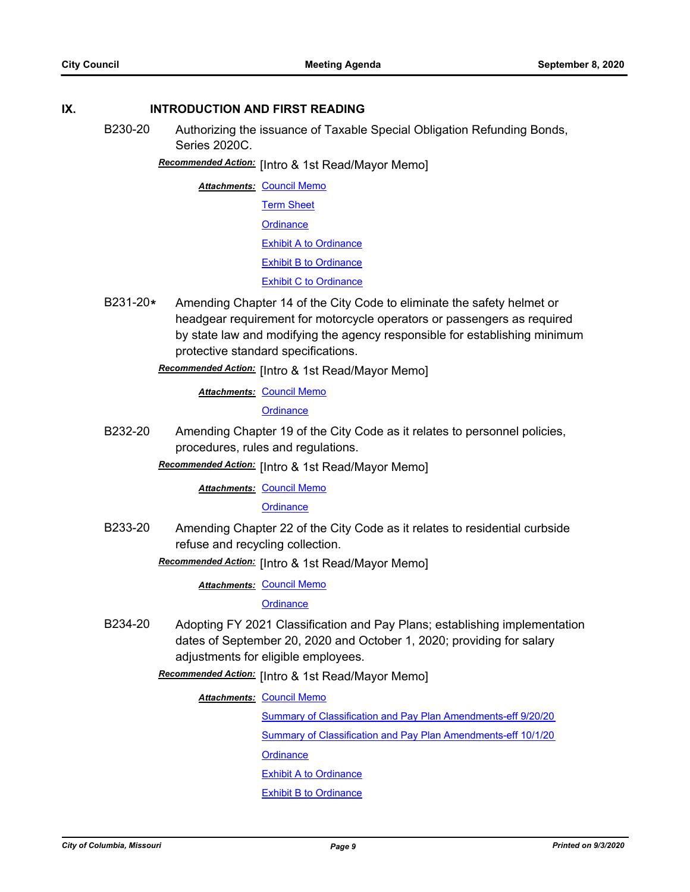### **IX. INTRODUCTION AND FIRST READING**

B230-20 Authorizing the issuance of Taxable Special Obligation Refunding Bonds, Series 2020C.

## **Recommended Action:** [Intro & 1st Read/Mayor Memo]

**Attachments: [Council Memo](http://gocolumbiamo.legistar.com/gateway.aspx?M=F&ID=8c21fcd0-3436-4340-9c67-add85b1465aa.docx)** [Term Sheet](http://gocolumbiamo.legistar.com/gateway.aspx?M=F&ID=de77c771-172e-4cda-82d2-f4dbbe1929f4.pdf) **[Ordinance](http://gocolumbiamo.legistar.com/gateway.aspx?M=F&ID=c5389380-4145-4f99-a207-ea1e2db5bd7b.doc)** [Exhibit A to Ordinance](http://gocolumbiamo.legistar.com/gateway.aspx?M=F&ID=04e4bb04-f925-4045-b899-0a6d519fb9db.pdf) [Exhibit B to Ordinance](http://gocolumbiamo.legistar.com/gateway.aspx?M=F&ID=702c15fc-2e82-432a-9b8b-c48919685272.pdf) [Exhibit C to Ordinance](http://gocolumbiamo.legistar.com/gateway.aspx?M=F&ID=1855f252-b5a4-4f94-ad96-165b39ff67ff.pdf)

B231-20**\*** Amending Chapter 14 of the City Code to eliminate the safety helmet or headgear requirement for motorcycle operators or passengers as required by state law and modifying the agency responsible for establishing minimum protective standard specifications.

Recommended Action: [Intro & 1st Read/Mayor Memo]

**Attachments: [Council Memo](http://gocolumbiamo.legistar.com/gateway.aspx?M=F&ID=4886ba75-775a-4d7d-a8e0-bc3b8151349b.docx)** 

**[Ordinance](http://gocolumbiamo.legistar.com/gateway.aspx?M=F&ID=23ae001e-18f5-47fb-8635-9bac1452a8e1.doc)** 

B232-20 Amending Chapter 19 of the City Code as it relates to personnel policies, procedures, rules and regulations.

Recommended Action: [Intro & 1st Read/Mayor Memo]

### **Attachments: [Council Memo](http://gocolumbiamo.legistar.com/gateway.aspx?M=F&ID=16ba13d7-d0a7-4558-b1e5-408516b1caf4.docx)**

### **[Ordinance](http://gocolumbiamo.legistar.com/gateway.aspx?M=F&ID=8c9bb3b3-c8ca-4578-863a-db742043cb81.doc)**

B233-20 Amending Chapter 22 of the City Code as it relates to residential curbside refuse and recycling collection.

**Recommended Action:** [Intro & 1st Read/Mayor Memo]

**Attachments: [Council Memo](http://gocolumbiamo.legistar.com/gateway.aspx?M=F&ID=79ae2610-37b8-4a41-8e20-52496cd08547.docx)** 

**[Ordinance](http://gocolumbiamo.legistar.com/gateway.aspx?M=F&ID=51dd93f4-8d9c-4bf0-8997-85e754b96ecc.doc)** 

B234-20 Adopting FY 2021 Classification and Pay Plans; establishing implementation dates of September 20, 2020 and October 1, 2020; providing for salary adjustments for eligible employees.

## Recommended Action: [Intro & 1st Read/Mayor Memo]

### **Attachments: [Council Memo](http://gocolumbiamo.legistar.com/gateway.aspx?M=F&ID=58c42595-99f8-4817-a0de-938b5e2e0b04.docx)**

[Summary of Classification and Pay Plan Amendments-eff 9/20/20](http://gocolumbiamo.legistar.com/gateway.aspx?M=F&ID=3a55c08c-08d7-419b-9e4a-98a81f4a3f43.doc) [Summary of Classification and Pay Plan Amendments-eff 10/1/20](http://gocolumbiamo.legistar.com/gateway.aspx?M=F&ID=d8dca568-769a-47cc-89da-9f46af338dfd.doc)

**[Ordinance](http://gocolumbiamo.legistar.com/gateway.aspx?M=F&ID=6db02a81-02ee-4211-9cd6-5abaf94e2c84.doc)** 

[Exhibit A to Ordinance](http://gocolumbiamo.legistar.com/gateway.aspx?M=F&ID=5becc747-ba2e-4e25-b9de-ca28c4b2590e.pdf)

## [Exhibit B to Ordinance](http://gocolumbiamo.legistar.com/gateway.aspx?M=F&ID=e7c4d5d8-2d0a-4238-ae4a-dc906b3ebe58.pdf)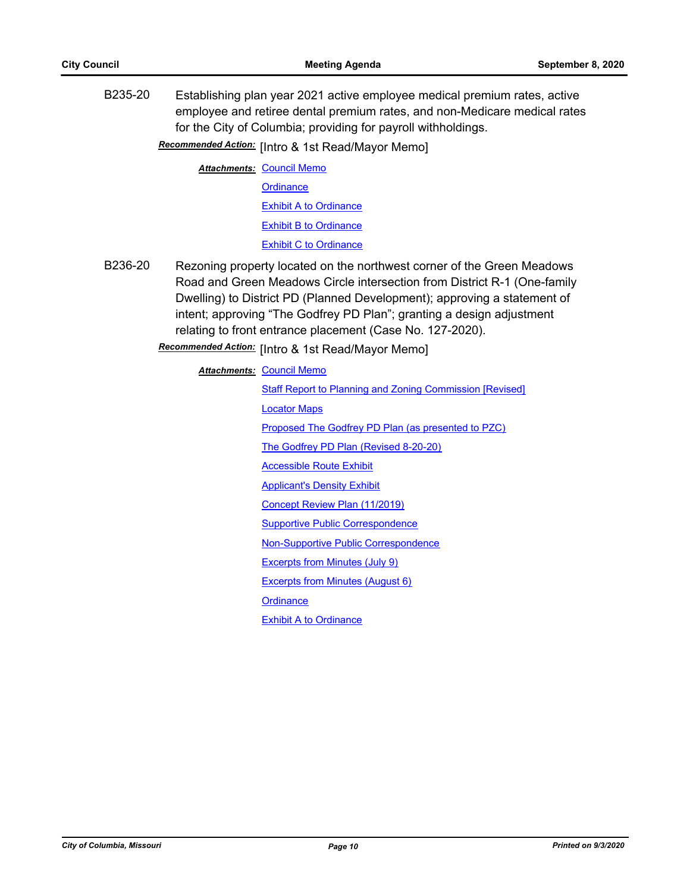B235-20 Establishing plan year 2021 active employee medical premium rates, active employee and retiree dental premium rates, and non-Medicare medical rates for the City of Columbia; providing for payroll withholdings.

**Recommended Action:** [Intro & 1st Read/Mayor Memo]

**Attachments: [Council Memo](http://gocolumbiamo.legistar.com/gateway.aspx?M=F&ID=f344ff4d-b9a2-4d57-ab64-3f413b1505ce.docx) [Ordinance](http://gocolumbiamo.legistar.com/gateway.aspx?M=F&ID=9d489740-cfbb-4b49-ad83-d53ed2c7500a.doc) [Exhibit A to Ordinance](http://gocolumbiamo.legistar.com/gateway.aspx?M=F&ID=cc7b62e4-f386-4353-bc22-443d818a3c0d.pdf)** [Exhibit B to Ordinance](http://gocolumbiamo.legistar.com/gateway.aspx?M=F&ID=119905bc-5113-454a-b7ef-8bdc481f5ec4.pdf) [Exhibit C to Ordinance](http://gocolumbiamo.legistar.com/gateway.aspx?M=F&ID=3b9ad44b-88a5-4f0e-90ed-cac515eb8f2a.pdf)

B236-20 Rezoning property located on the northwest corner of the Green Meadows Road and Green Meadows Circle intersection from District R-1 (One-family Dwelling) to District PD (Planned Development); approving a statement of intent; approving "The Godfrey PD Plan"; granting a design adjustment relating to front entrance placement (Case No. 127-2020).

Recommended Action: [Intro & 1st Read/Mayor Memo]

| <b>Attachments: Council Memo</b>                         |  |
|----------------------------------------------------------|--|
| Staff Report to Planning and Zoning Commission [Revised] |  |
| <b>Locator Maps</b>                                      |  |
| Proposed The Godfrey PD Plan (as presented to PZC)       |  |
| The Godfrey PD Plan (Revised 8-20-20)                    |  |
| <b>Accessible Route Exhibit</b>                          |  |
| <b>Applicant's Density Exhibit</b>                       |  |
| Concept Review Plan (11/2019)                            |  |
| <b>Supportive Public Correspondence</b>                  |  |
| <b>Non-Supportive Public Correspondence</b>              |  |
| Excerpts from Minutes (July 9)                           |  |
| Excerpts from Minutes (August 6)                         |  |
| Ordinance                                                |  |
| <b>Exhibit A to Ordinance</b>                            |  |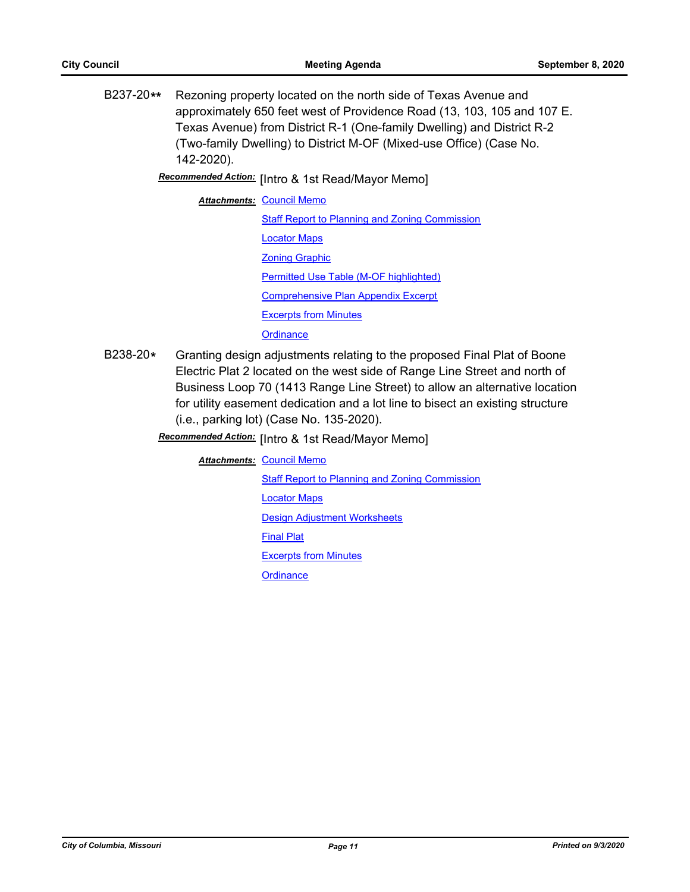B237-20**\*\*** Rezoning property located on the north side of Texas Avenue and approximately 650 feet west of Providence Road (13, 103, 105 and 107 E. Texas Avenue) from District R-1 (One-family Dwelling) and District R-2 (Two-family Dwelling) to District M-OF (Mixed-use Office) (Case No. 142-2020).

[Intro & 1st Read/Mayor Memo] *Recommended Action:*

**Attachments: [Council Memo](http://gocolumbiamo.legistar.com/gateway.aspx?M=F&ID=d67ec566-72a5-46be-a4a8-8b0c0b485b65.docx)** [Staff Report to Planning and Zoning Commission](http://gocolumbiamo.legistar.com/gateway.aspx?M=F&ID=ba42ed56-f69f-4404-bee5-e34e5101c5e3.docx) [Locator Maps](http://gocolumbiamo.legistar.com/gateway.aspx?M=F&ID=115a412e-4f00-4ff2-9657-f403da3c5db7.pdf) [Zoning Graphic](http://gocolumbiamo.legistar.com/gateway.aspx?M=F&ID=13971eee-1562-4edf-8967-b4c870aca7c1.pdf) [Permitted Use Table \(M-OF highlighted\)](http://gocolumbiamo.legistar.com/gateway.aspx?M=F&ID=1056f22e-4a8a-4611-9eb9-4b5ce5f765dc.pdf) [Comprehensive Plan Appendix Excerpt](http://gocolumbiamo.legistar.com/gateway.aspx?M=F&ID=e5b94ed3-c6f7-475c-acc2-4a69a9f9f8e8.pdf) [Excerpts from Minutes](http://gocolumbiamo.legistar.com/gateway.aspx?M=F&ID=f81be1f8-11ee-4ff4-830d-db825100be02.docx) **[Ordinance](http://gocolumbiamo.legistar.com/gateway.aspx?M=F&ID=91f2ff97-b80e-4d30-aaf4-fac096109892.doc)** 

- B238-20**\*** Granting design adjustments relating to the proposed Final Plat of Boone Electric Plat 2 located on the west side of Range Line Street and north of Business Loop 70 (1413 Range Line Street) to allow an alternative location for utility easement dedication and a lot line to bisect an existing structure (i.e., parking lot) (Case No. 135-2020).
	- **Recommended Action:** [Intro & 1st Read/Mayor Memo]

**Attachments: [Council Memo](http://gocolumbiamo.legistar.com/gateway.aspx?M=F&ID=0c96ed2f-c4c4-4ed9-88a9-e0d21a5d76fe.docx)** 

[Staff Report to Planning and Zoning Commission](http://gocolumbiamo.legistar.com/gateway.aspx?M=F&ID=a192efb0-30f5-4665-8360-23d6629a4527.docx)

[Locator Maps](http://gocolumbiamo.legistar.com/gateway.aspx?M=F&ID=56a01d3a-ff76-46d6-810c-2cd24ee604f9.pdf)

[Design Adjustment Worksheets](http://gocolumbiamo.legistar.com/gateway.aspx?M=F&ID=5f8c2858-cf23-4e3c-b0db-98ff3d678062.pdf)

[Final Plat](http://gocolumbiamo.legistar.com/gateway.aspx?M=F&ID=99547cf8-d13f-4c8f-9228-5be750303a02.pdf)

[Excerpts from Minutes](http://gocolumbiamo.legistar.com/gateway.aspx?M=F&ID=cc42287f-2a5a-4a50-9a75-59ef5a9727b7.docx)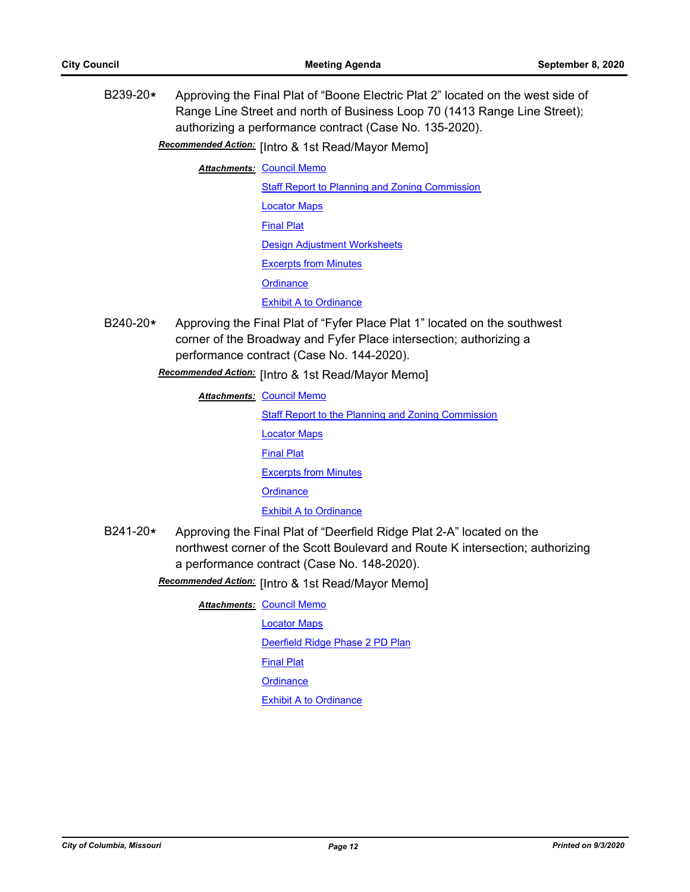B239-20**\*** Approving the Final Plat of "Boone Electric Plat 2" located on the west side of Range Line Street and north of Business Loop 70 (1413 Range Line Street); authorizing a performance contract (Case No. 135-2020).

Recommended Action: [Intro & 1st Read/Mayor Memo]

**Attachments: [Council Memo](http://gocolumbiamo.legistar.com/gateway.aspx?M=F&ID=002424df-ba10-4b2e-82b5-c6cf4b1a69e8.docx)** 

[Staff Report to Planning and Zoning Commission](http://gocolumbiamo.legistar.com/gateway.aspx?M=F&ID=1c2be4f5-33a8-4211-9f0f-20458d0b2663.docx) [Locator Maps](http://gocolumbiamo.legistar.com/gateway.aspx?M=F&ID=6f22bfb1-2d3c-4b10-8b74-a06a1d23fa42.pdf) [Final Plat](http://gocolumbiamo.legistar.com/gateway.aspx?M=F&ID=82a798e2-529d-42b5-9c5f-939950920378.pdf) [Design Adjustment Worksheets](http://gocolumbiamo.legistar.com/gateway.aspx?M=F&ID=42113854-f792-48f3-9436-6ad7e694cbc0.pdf) [Excerpts from Minutes](http://gocolumbiamo.legistar.com/gateway.aspx?M=F&ID=8211f1e3-548e-4214-a789-135c9e72734d.docx) **[Ordinance](http://gocolumbiamo.legistar.com/gateway.aspx?M=F&ID=7a219b29-a7bf-40a6-a09a-f58e01fc6e1c.doc)** [Exhibit A to Ordinance](http://gocolumbiamo.legistar.com/gateway.aspx?M=F&ID=6a367587-3f4c-48c9-9083-041180a25282.pdf)

B240-20**\*** Approving the Final Plat of "Fyfer Place Plat 1" located on the southwest corner of the Broadway and Fyfer Place intersection; authorizing a performance contract (Case No. 144-2020).

**Recommended Action:** [Intro & 1st Read/Mayor Memo]

**Attachments: [Council Memo](http://gocolumbiamo.legistar.com/gateway.aspx?M=F&ID=953b330d-e15f-4720-a3f2-00db7040c266.docx)** [Staff Report to the Planning and Zoning Commission](http://gocolumbiamo.legistar.com/gateway.aspx?M=F&ID=46624f46-eb43-4879-b007-e4d07bfc61a3.docx) [Locator Maps](http://gocolumbiamo.legistar.com/gateway.aspx?M=F&ID=15d26d84-65e3-45ff-b029-a6115452edd6.pdf) [Final Plat](http://gocolumbiamo.legistar.com/gateway.aspx?M=F&ID=634ac9e4-bd39-4cab-8fdc-149ebace1c4c.pdf) [Excerpts from Minutes](http://gocolumbiamo.legistar.com/gateway.aspx?M=F&ID=7f8338e3-9c4b-49a6-8215-37c788ddc4ac.docx) **[Ordinance](http://gocolumbiamo.legistar.com/gateway.aspx?M=F&ID=cfa55fbb-64aa-47fd-a382-d5508764fbaa.doc)** [Exhibit A to Ordinance](http://gocolumbiamo.legistar.com/gateway.aspx?M=F&ID=0647d4c1-0e09-4fb5-8485-5fa4bd354688.pdf)

B241-20**\*** Approving the Final Plat of "Deerfield Ridge Plat 2-A" located on the northwest corner of the Scott Boulevard and Route K intersection; authorizing a performance contract (Case No. 148-2020).

Recommended Action: [Intro & 1st Read/Mayor Memo]

**Attachments: [Council Memo](http://gocolumbiamo.legistar.com/gateway.aspx?M=F&ID=495d5e28-5057-44d4-9c64-4d254d4e73a9.docx)** 

[Locator Maps](http://gocolumbiamo.legistar.com/gateway.aspx?M=F&ID=2c1880c9-1641-4216-9547-f77ea0374011.pdf) [Deerfield Ridge Phase 2 PD Plan](http://gocolumbiamo.legistar.com/gateway.aspx?M=F&ID=bf4f8bf7-acc5-46be-ad0b-b44520c856e4.pdf) [Final Plat](http://gocolumbiamo.legistar.com/gateway.aspx?M=F&ID=11242561-8d3a-4ad4-a376-5cccb4ee517a.pdf)

**[Ordinance](http://gocolumbiamo.legistar.com/gateway.aspx?M=F&ID=f02562de-0fca-4b82-b927-c2261ccdba9f.doc)** 

**[Exhibit A to Ordinance](http://gocolumbiamo.legistar.com/gateway.aspx?M=F&ID=b5ccf404-c2e3-43ec-9e09-3072d61bfc5e.pdf)** 

*City of Columbia, Missouri Page 12 Printed on 9/3/2020*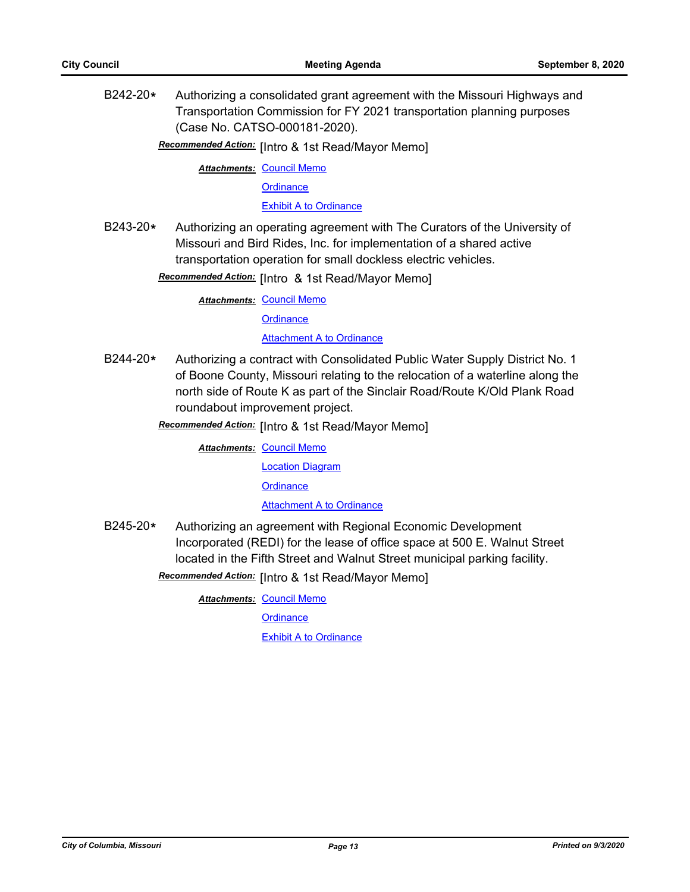B242-20**\*** Authorizing a consolidated grant agreement with the Missouri Highways and Transportation Commission for FY 2021 transportation planning purposes (Case No. CATSO-000181-2020).

**Recommended Action:** [Intro & 1st Read/Mayor Memo]

**Attachments: [Council Memo](http://gocolumbiamo.legistar.com/gateway.aspx?M=F&ID=488acc67-a3aa-4336-a6ad-5ce1f0d0bc7b.docx)** 

**[Ordinance](http://gocolumbiamo.legistar.com/gateway.aspx?M=F&ID=5d3be8c3-8191-4ff2-b1f2-1fff2798f5b1.doc)** 

[Exhibit A to Ordinance](http://gocolumbiamo.legistar.com/gateway.aspx?M=F&ID=f81c3acf-cfef-4f49-b2df-6eb405d1c42f.pdf)

B243-20**\*** Authorizing an operating agreement with The Curators of the University of Missouri and Bird Rides, Inc. for implementation of a shared active transportation operation for small dockless electric vehicles.

Recommended Action: [Intro & 1st Read/Mayor Memo]

**Attachments: [Council Memo](http://gocolumbiamo.legistar.com/gateway.aspx?M=F&ID=34ee79c8-8c64-4145-802d-1657f86edde9.docx)** 

**[Ordinance](http://gocolumbiamo.legistar.com/gateway.aspx?M=F&ID=9ef90e16-b720-44d1-aeed-4b7b888b81de.doc)** 

[Attachment A to Ordinance](http://gocolumbiamo.legistar.com/gateway.aspx?M=F&ID=2f2d9f02-1065-4eb4-b692-53d326d12bcd.pdf)

- B244-20**\*** Authorizing a contract with Consolidated Public Water Supply District No. 1 of Boone County, Missouri relating to the relocation of a waterline along the north side of Route K as part of the Sinclair Road/Route K/Old Plank Road roundabout improvement project.
	- **Recommended Action:** [Intro & 1st Read/Mayor Memo]

**Attachments: [Council Memo](http://gocolumbiamo.legistar.com/gateway.aspx?M=F&ID=1ac6eb24-3b05-4ac4-9bd7-d4b28fe37727.docx)** 

[Location Diagram](http://gocolumbiamo.legistar.com/gateway.aspx?M=F&ID=318945b9-7fcd-4a33-ade3-7483578d0341.pdf)

**[Ordinance](http://gocolumbiamo.legistar.com/gateway.aspx?M=F&ID=3fdab645-03ef-450b-b1db-83784929d3e5.doc)** 

[Attachment A to Ordinance](http://gocolumbiamo.legistar.com/gateway.aspx?M=F&ID=5c82a84f-ab56-4a15-ba45-aeeb19dbdc5f.pdf)

B245-20**\*** Authorizing an agreement with Regional Economic Development Incorporated (REDI) for the lease of office space at 500 E. Walnut Street located in the Fifth Street and Walnut Street municipal parking facility.

**Recommended Action:** [Intro & 1st Read/Mayor Memo]

**Attachments: [Council Memo](http://gocolumbiamo.legistar.com/gateway.aspx?M=F&ID=22b7ec8b-04b7-4b4a-a5b7-231d1e20efe5.docx)** 

**[Ordinance](http://gocolumbiamo.legistar.com/gateway.aspx?M=F&ID=d1c5509d-a756-4c6e-a107-5e8d0b400959.doc)** 

[Exhibit A to Ordinance](http://gocolumbiamo.legistar.com/gateway.aspx?M=F&ID=ac216e2b-6797-4d0d-8c50-4268788f5f07.pdf)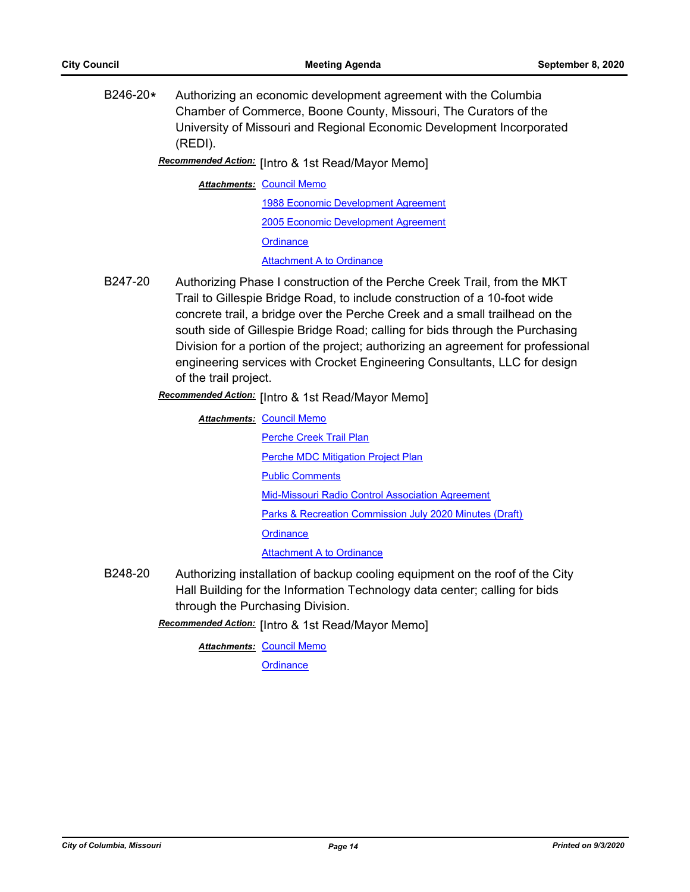B246-20**\*** Authorizing an economic development agreement with the Columbia Chamber of Commerce, Boone County, Missouri, The Curators of the University of Missouri and Regional Economic Development Incorporated (REDI).

Recommended Action: [Intro & 1st Read/Mayor Memo]

#### **Attachments: [Council Memo](http://gocolumbiamo.legistar.com/gateway.aspx?M=F&ID=0641d815-c5ba-49ff-abf9-33a27ebc2060.docx)**

[1988 Economic Development Agreement](http://gocolumbiamo.legistar.com/gateway.aspx?M=F&ID=cc4a8a4d-d5ed-45e0-a679-88833dde4eee.pdf) [2005 Economic Development Agreement](http://gocolumbiamo.legistar.com/gateway.aspx?M=F&ID=815d2f79-999d-48b1-8dbc-2b34468bb945.pdf)

**[Ordinance](http://gocolumbiamo.legistar.com/gateway.aspx?M=F&ID=126c1b98-4f26-43c1-b6b4-4b7d6b50aedb.doc)** 

[Attachment A to Ordinance](http://gocolumbiamo.legistar.com/gateway.aspx?M=F&ID=c5aadde8-32d8-444d-93a5-3f57b0d808a5.pdf)

B247-20 Authorizing Phase I construction of the Perche Creek Trail, from the MKT Trail to Gillespie Bridge Road, to include construction of a 10-foot wide concrete trail, a bridge over the Perche Creek and a small trailhead on the south side of Gillespie Bridge Road; calling for bids through the Purchasing Division for a portion of the project; authorizing an agreement for professional engineering services with Crocket Engineering Consultants, LLC for design of the trail project.

Recommended Action: [Intro & 1st Read/Mayor Memo]

**Attachments: [Council Memo](http://gocolumbiamo.legistar.com/gateway.aspx?M=F&ID=87ab708b-e1fb-4c32-b53a-dce90a42c088.docx)** 

[Perche Creek Trail Plan](http://gocolumbiamo.legistar.com/gateway.aspx?M=F&ID=fe6eaa50-b26c-4a54-87a8-bcceb855a51f.pdf) [Perche MDC Mitigation Project Plan](http://gocolumbiamo.legistar.com/gateway.aspx?M=F&ID=9d36fb8a-258b-4eb7-909a-c6a6ea297ad1.pdf) [Public Comments](http://gocolumbiamo.legistar.com/gateway.aspx?M=F&ID=9db63936-d5e7-4ddd-bbd0-08dab68d0198.pdf) [Mid-Missouri Radio Control Association Agreement](http://gocolumbiamo.legistar.com/gateway.aspx?M=F&ID=d8cade8a-0569-42b5-94f3-2fc4f5515321.pdf) [Parks & Recreation Commission July 2020 Minutes \(Draft\)](http://gocolumbiamo.legistar.com/gateway.aspx?M=F&ID=e171ec02-05d4-431a-8232-a67f11ccb945.pdf) **[Ordinance](http://gocolumbiamo.legistar.com/gateway.aspx?M=F&ID=f4aacb78-8c78-4cae-b8d1-1bac953a6072.doc)** [Attachment A to Ordinance](http://gocolumbiamo.legistar.com/gateway.aspx?M=F&ID=2d0415b4-d96c-403d-b61a-563c4b25bd45.pdf)

B248-20 Authorizing installation of backup cooling equipment on the roof of the City Hall Building for the Information Technology data center; calling for bids through the Purchasing Division.

Recommended Action: [Intro & 1st Read/Mayor Memo]

**Attachments: [Council Memo](http://gocolumbiamo.legistar.com/gateway.aspx?M=F&ID=1d1782a3-ff0e-4539-969a-ae650f19bfed.docx)**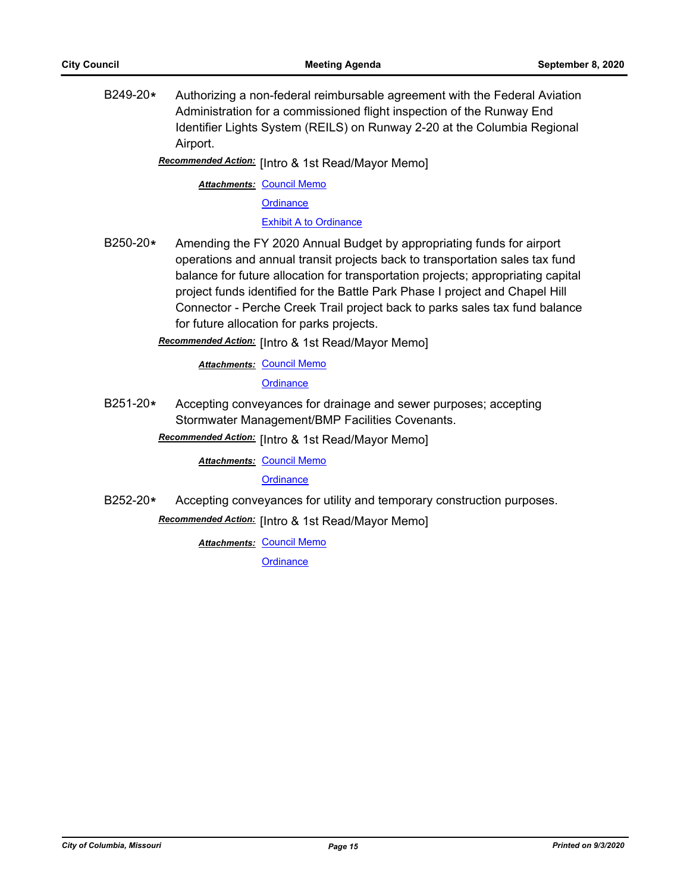B249-20**\*** Authorizing a non-federal reimbursable agreement with the Federal Aviation Administration for a commissioned flight inspection of the Runway End Identifier Lights System (REILS) on Runway 2-20 at the Columbia Regional Airport.

Recommended Action: [Intro & 1st Read/Mayor Memo]

**Attachments: [Council Memo](http://gocolumbiamo.legistar.com/gateway.aspx?M=F&ID=c5e22355-1e73-4e5e-b0c2-e7353afc2267.docx)** 

**[Ordinance](http://gocolumbiamo.legistar.com/gateway.aspx?M=F&ID=e7690c03-d895-49a7-9dc0-0957e414168c.doc)** 

[Exhibit A to Ordinance](http://gocolumbiamo.legistar.com/gateway.aspx?M=F&ID=517be2fe-a3bd-485d-8806-a9783d04e412.pdf)

B250-20**\*** Amending the FY 2020 Annual Budget by appropriating funds for airport operations and annual transit projects back to transportation sales tax fund balance for future allocation for transportation projects; appropriating capital project funds identified for the Battle Park Phase I project and Chapel Hill Connector - Perche Creek Trail project back to parks sales tax fund balance for future allocation for parks projects.

Recommended Action: [Intro & 1st Read/Mayor Memo]

**Attachments: [Council Memo](http://gocolumbiamo.legistar.com/gateway.aspx?M=F&ID=7e24d5f2-88d8-478a-a626-33a6e653ef3e.docx)** 

**[Ordinance](http://gocolumbiamo.legistar.com/gateway.aspx?M=F&ID=c05e6ef6-cc8d-4113-a5c5-1aece5645e87.doc)** 

B251-20**\*** Accepting conveyances for drainage and sewer purposes; accepting Stormwater Management/BMP Facilities Covenants.

**Recommended Action:** [Intro & 1st Read/Mayor Memo]

**Attachments: [Council Memo](http://gocolumbiamo.legistar.com/gateway.aspx?M=F&ID=7bff0cc2-e4d1-4636-8279-26421a8433ec.docx)** 

**[Ordinance](http://gocolumbiamo.legistar.com/gateway.aspx?M=F&ID=ad689410-ca5f-4df2-ab5b-5a2c005143a3.doc)** 

B252-20**\*** Accepting conveyances for utility and temporary construction purposes.

**Recommended Action:** [Intro & 1st Read/Mayor Memo]

**Attachments: [Council Memo](http://gocolumbiamo.legistar.com/gateway.aspx?M=F&ID=dcec7548-fea1-474e-9fc2-9827a221c339.docx)**